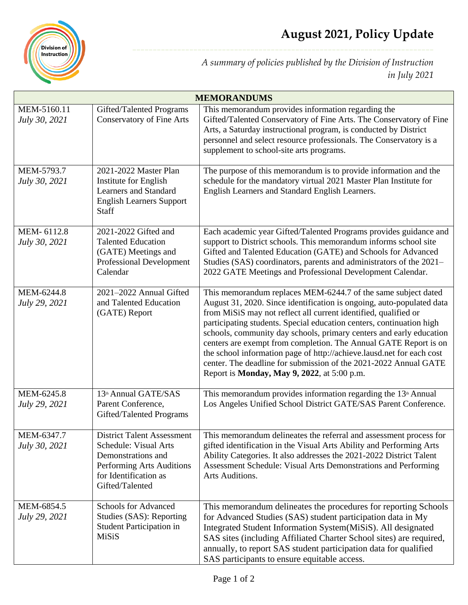

*A summary of policies published by the Division of Instruction in July 2021*

| <b>MEMORANDUMS</b>           |                                                                                                                                                           |                                                                                                                                                                                                                                                                                                                                                                                                                                                                                                                                                                                                                                  |  |
|------------------------------|-----------------------------------------------------------------------------------------------------------------------------------------------------------|----------------------------------------------------------------------------------------------------------------------------------------------------------------------------------------------------------------------------------------------------------------------------------------------------------------------------------------------------------------------------------------------------------------------------------------------------------------------------------------------------------------------------------------------------------------------------------------------------------------------------------|--|
| MEM-5160.11<br>July 30, 2021 | Gifted/Talented Programs<br><b>Conservatory of Fine Arts</b>                                                                                              | This memorandum provides information regarding the<br>Gifted/Talented Conservatory of Fine Arts. The Conservatory of Fine<br>Arts, a Saturday instructional program, is conducted by District<br>personnel and select resource professionals. The Conservatory is a<br>supplement to school-site arts programs.                                                                                                                                                                                                                                                                                                                  |  |
| MEM-5793.7<br>July 30, 2021  | 2021-2022 Master Plan<br>Institute for English<br><b>Learners and Standard</b><br><b>English Learners Support</b><br>Staff                                | The purpose of this memorandum is to provide information and the<br>schedule for the mandatory virtual 2021 Master Plan Institute for<br>English Learners and Standard English Learners.                                                                                                                                                                                                                                                                                                                                                                                                                                         |  |
| MEM-6112.8<br>July 30, 2021  | 2021-2022 Gifted and<br><b>Talented Education</b><br>(GATE) Meetings and<br><b>Professional Development</b><br>Calendar                                   | Each academic year Gifted/Talented Programs provides guidance and<br>support to District schools. This memorandum informs school site<br>Gifted and Talented Education (GATE) and Schools for Advanced<br>Studies (SAS) coordinators, parents and administrators of the 2021–<br>2022 GATE Meetings and Professional Development Calendar.                                                                                                                                                                                                                                                                                       |  |
| MEM-6244.8<br>July 29, 2021  | 2021-2022 Annual Gifted<br>and Talented Education<br>(GATE) Report                                                                                        | This memorandum replaces MEM-6244.7 of the same subject dated<br>August 31, 2020. Since identification is ongoing, auto-populated data<br>from MiSiS may not reflect all current identified, qualified or<br>participating students. Special education centers, continuation high<br>schools, community day schools, primary centers and early education<br>centers are exempt from completion. The Annual GATE Report is on<br>the school information page of http://achieve.lausd.net for each cost<br>center. The deadline for submission of the 2021-2022 Annual GATE<br>Report is <b>Monday</b> , May 9, 2022, at 5:00 p.m. |  |
| MEM-6245.8<br>July 29, 2021  | 13th Annual GATE/SAS<br>Parent Conference,<br>Gifted/Talented Programs                                                                                    | This memorandum provides information regarding the 13 <sup>th</sup> Annual<br>Los Angeles Unified School District GATE/SAS Parent Conference.                                                                                                                                                                                                                                                                                                                                                                                                                                                                                    |  |
| MEM-6347.7<br>July 30, 2021  | <b>District Talent Assessment</b><br>Schedule: Visual Arts<br>Demonstrations and<br>Performing Arts Auditions<br>for Identification as<br>Gifted/Talented | This memorandum delineates the referral and assessment process for<br>gifted identification in the Visual Arts Ability and Performing Arts<br>Ability Categories. It also addresses the 2021-2022 District Talent<br>Assessment Schedule: Visual Arts Demonstrations and Performing<br>Arts Auditions.                                                                                                                                                                                                                                                                                                                           |  |
| MEM-6854.5<br>July 29, 2021  | <b>Schools for Advanced</b><br>Studies (SAS): Reporting<br>Student Participation in<br><b>MiSiS</b>                                                       | This memorandum delineates the procedures for reporting Schools<br>for Advanced Studies (SAS) student participation data in My<br>Integrated Student Information System(MiSiS). All designated<br>SAS sites (including Affiliated Charter School sites) are required,<br>annually, to report SAS student participation data for qualified<br>SAS participants to ensure equitable access.                                                                                                                                                                                                                                        |  |